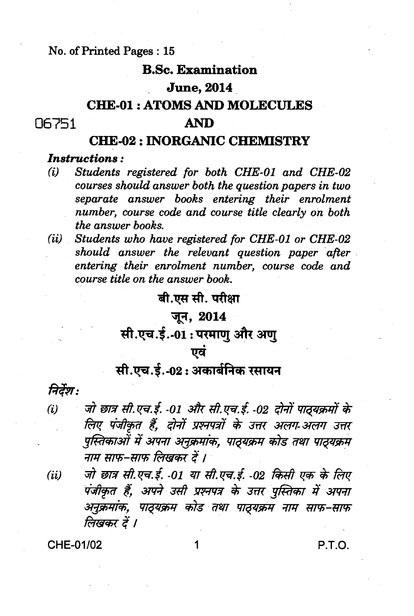#### No. of Printed Pages: 15

#### **B.Sc. Examination**

#### **June**, 2014

# **CHE-01: ATOMS AND MOLECULES**

#### 06751

#### **AND**

# **CHE-02: INORGANIC CHEMISTRY**

#### **Instructions:**

- Students registered for both CHE-01 and CHE-02  $(i)$ courses should answer both the question papers in two separate answer books entering their enrolment number, course code and course title clearly on both the answer books.
- (ii) Students who have registered for CHE-01 or CHE-02 should answer the relevant question paper after entering their enrolment number, course code and course title on the answer book.

### बी.एस सी. परीक्षा

# जून, 2014

# सी.एच.ई.-01: परमाणु और अणु

#### एवं

# सी.एच.ई.-02: अकार्बनिक रसायन

# निर्देश:

- जो छात्र सी.एच.ई. -01 और सी.एच.ई. -02 दोनों पाठ्यक्रमों के  $(i)$ लिए पंजीकृत हैं. दोनों प्रश्नपत्रों के उत्तर अलग-अलग उत्तर पुस्तिकाओं में अपना अनुक्रमांक, पाठ्यक्रम कोड तथा पाठ्यक्रम नाम साफ-साफ लिखकर दें ।
- जो छात्र सी.एच.ई. -01 या सी.एच.ई. -02 किसी एक के लिए  $(ii)$ पंजीकृत हैं, अपने उसी प्रश्नपत्र के उत्तर पुस्तिका में अपना अनुक्रमांक, पाठ्यक्रम कोड तथा पाठ्यक्रम नाम साफ-साफ लिखकर दें ।

1

CHE-01/02

P.T.O.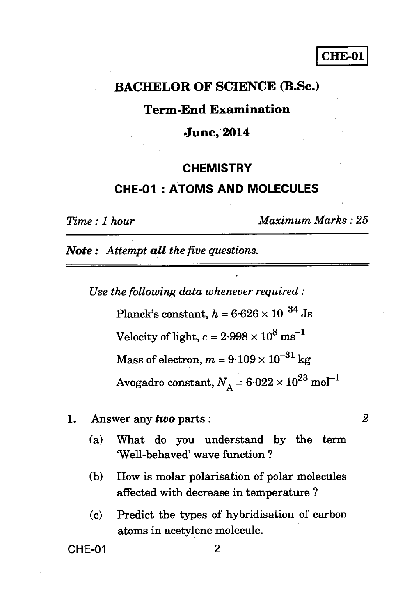#### **CHE-01**

#### **BACHELOR OF SCIENCE (B.Sc.)**

#### **Term-End Examination**

#### **June, 2014**

#### **CHEMISTRY**

#### **CHE-01 : ATOMS AND MOLECULES**

*Time : 1 hour Maximum Marks : 25* 

*Note : Attempt all the five questions.* 

*Use the following data whenever required :*  Planck's constant,  $h = 6.626 \times 10^{-34}$  Js Velocity of light,  $c = 2.998 \times 10^8 \text{ ms}^{-1}$ Mass of electron,  $m = 9.109 \times 10^{-31}$  kg Avogadro constant,  $N_{\rm A}= 6.022 \times 10^{23}$  mol $^{-1}$ 

- 1. Answer any *two* parts : *2* 
	- (a) What do you understand by the term Well-behaved' wave function ?
	- (b) How is molar polarisation of polar molecules affected with decrease in temperature ?
	- (c) Predict the types of hybridisation of carbon atoms in acetylene molecule.

CHE-01 2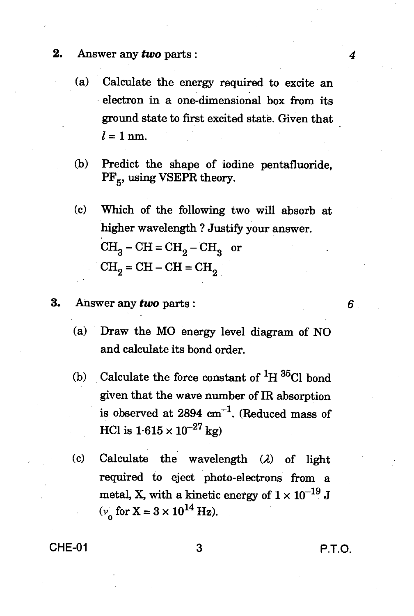- **2.** Answer any *two* parts : *4* 
	- (a) Calculate the energy required to excite an electron in a one-dimensional box from its ground state to first excited state. Given that  $l = 1$  nm.
	- (b) Predict the shape of iodine pentafluoride,  $PF_{5}$ , using VSEPR theory.
	- (c) Which of the following two will absorb at higher wavelength ? Justify your answer.  $CH_3-CH=CH_2-CH_3$  or  $CH<sub>2</sub> = CH - CH = CH<sub>2</sub>$
- 3. Answer any *two* parts :
	- (a) Draw the MO energy level diagram of NO and calculate its bond order.
	- (b) Calculate the force constant of  ${}^{1}H$   ${}^{35}Cl$  bond given that the wave number of IR absorption is observed at  $2894 \text{ cm}^{-1}$ . (Reduced mass of HCl is  $1.615 \times 10^{-27}$  kg)
	- (c) Calculate the wavelength *(2)* of light required to eject photo-electrons from a metal, X, with a kinetic energy of  $1 \times 10^{-19}$  J  $(v_{\rm g}$  for  $X = 3 \times 10^{14}$  Hz).

CHE-01 3 P.T.O.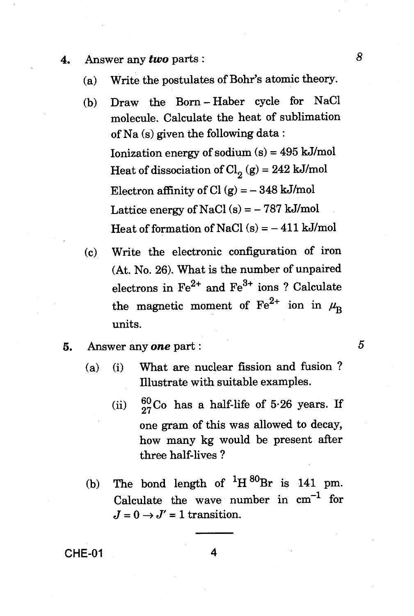- **4.** Answer any *two* parts : *8* 
	- (a) Write the postulates of Bohr's atomic theory.
	- (b) Draw the Born Haber cycle for NaCl molecule. Calculate the heat of sublimation of Na (s) given the following data : Ionization energy of sodium (s) = 495 kJ/mol Heat of dissociation of  $Cl_2(g) = 242$  kJ/mol Electron affinity of Cl  $(g) = -348$  kJ/mol Lattice energy of NaCl  $(s) = -787$  kJ/mol Heat of formation of NaCl  $(s) = -411$  kJ/mol
	- (c) Write the electronic configuration of iron (At. No. 26). What is the number of unpaired electrons in  $\text{Fe}^{2+}$  and  $\text{Fe}^{3+}$  ions ? Calculate the magnetic moment of  $\text{Fe}^{2+}$  ion in  $\mu_{\text{B}}$ units.
- **5.** Answer any *one* part : 5
	- (a) (i) What are nuclear fission and fusion ? Illustrate with suitable examples.
		- (ii)  $\frac{60}{27}$ Co has a half-life of 5.26 years. If one gram of this was allowed to decay, how many kg would be present after three half-lives ?
	- (b) The bond length of  ${}^{1}H\,{}^{80}Br$  is 141 pm. Calculate the wave number in  $cm^{-1}$  for  $J = 0 \rightarrow J' = 1$  transition.

**CHE-01 4**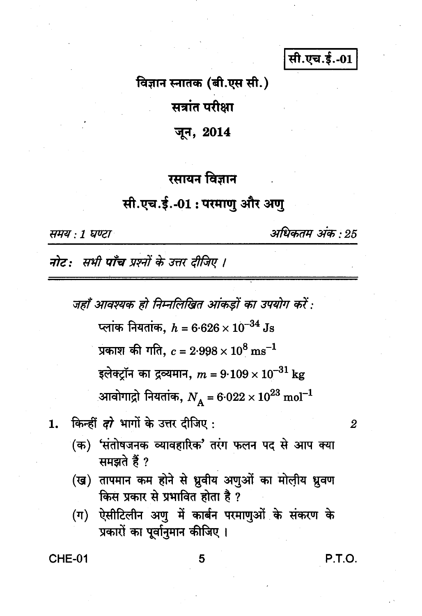सी.एच.ई.-01

विज्ञान स्नातक (बी.एस सी.)

सत्रांत परीक्षा

जून, 2014

# रसायन विज्ञान

# सी.एच.ई.-01 : परमाणु और अणु

समय : 1 घण्टा

अधिकतम अंक : 25

नोट: सभी पाँच प्रश्नों के उत्तर दीजिए ।

जहाँ आवश्यक हो निम्नलिखित आंकड़ों का उपयोग करें :

प्लांक नियतांक,  $h = 6.626 \times 10^{-34}$  Js

प्रकाश की गति,  $c = 2.998 \times 10^8 \text{ ms}^{-1}$ 

इलेक्ट्रॉन का द्रव्यमान,  $m = 9{\cdot}109 \times 10^{-31} \text{ kg}$ 

आवोगाद्रो नियतांक,  $N_{\rm A}$  = 6·022  $\times\,10^{23}$  mol $^{-1}$ 

किन्हीं *दो* भागों के उत्तर दीजिए: 1.

- (क) 'संतोषजनक व्यावहारिक' तरंग फलन पद से आप क्या समझते हैं ?
- (ख) तापमान कम होने से ध्रुवीय अणुओं का मोलीय ध्रुवण किस प्रकार से प्रभावित होता है ?
- (ग) ऐसीटिलीन अणु में कार्बन परमाणुओं के संकरण के प्रकारों का पूर्वानुमान कीजिए।

**CHE-01** 

P.T.O.

 $\overline{2}$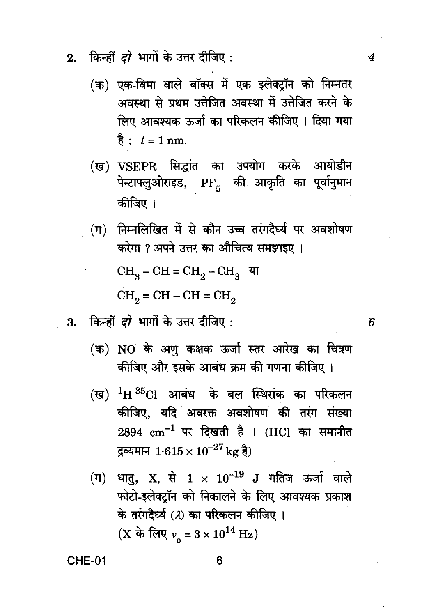- किन्हीं *दो* भागों के उत्तर दीजिए :  $2.$ 
	- (क) एक-विमा वाले बॉक्स में एक इलेक्टॉन को निम्नतर अवस्था से प्रथम उत्तेजित अवस्था में उत्तेजित करने के लिए आवश्यक ऊर्जा का परिकलन कीजिए । दिया गया है:  $l = 1$  nm.
	- (ख) VSEPR सिद्धांत का उपयोग करके आयोडीन पेन्टाफ्लुओराइड, PF<sub>5</sub> की आकृति का पूर्वानुमान कीजिए ।
	- (ग) निम्नलिखित में से कौन उच्च तरंगदैर्घ्य पर अवशोषण करेगा ? अपने उत्तर का औचित्य समझाइए ।  $CH_2-CH=CH_2-CH_3$  या  $CH<sub>o</sub> = CH - CH = CH<sub>o</sub>$
- 3. किन्हीं दरे भागों के उत्तर दीजिए:
	- (क) NO के अणू कक्षक ऊर्जा स्तर आरेख का चित्रण कीजिए और इसके आबंध क्रम की गणना कीजिए ।
	- (ख)  $^{1}$ H $^{35}$ Cl आबंध के बल स्थिरांक का परिकलन कीजिए, यदि अवरक्त अवशोषण की तरंग संख्या  $2894 \text{ cm}^{-1}$  पर दिखती है । (HCl का समानीत द्रव्यमान  $1.615 \times 10^{-27} \text{ kg}$  है)
	- (ग) धातु, X, से  $1 \times 10^{-19}$  J गतिज ऊर्जा वाले फोटो-इलेक्टॉन को निकालने के लिए आवश्यक प्रकाश के तरंगदैर्घ्य (2) का परिकलन कीजिए। (X के लिए  $v_0 = 3 \times 10^{14}$  Hz)

CHE-01

6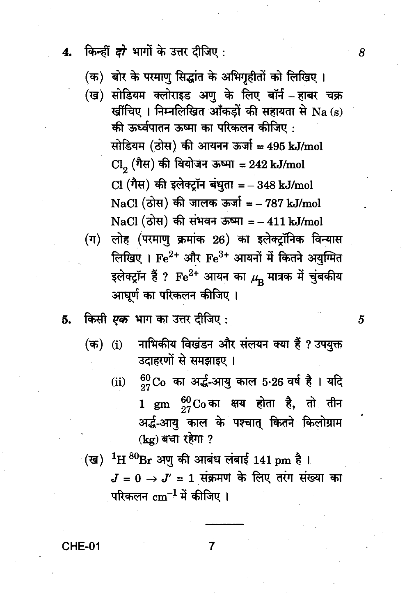- किन्हीं *दो* भागों के उत्तर दीजिए :  $\mathbf{4}$ 
	- (क) बोर के परमाणु सिद्धांत के अभिगृहीतों को लिखिए।
	- (ख) सोडियम क्लोराइड अणू के लिए बॉर्न हाबर चक्र खींचिए । निम्नलिखित आँकड़ों की सहायता से Na (s) की ऊर्ध्वपातन ऊष्मा का परिकलन कीजिए : सोडियम (ठोस) की आयनन ऊर्जा = 495 kJ/mol Cl. (गैस) की वियोजन ऊष्मा = 242 kJ/mol  $Cl$  (गैस) की इलेक्ट्रॉन बंधुता = - 348 kJ/mol NaCl (ठोस) की जालक ऊर्जा = - 787 kJ/mol NaCl (ठोस) की संभवन ऊष्मा =  $-411$  kJ/mol
	- (ग) लोह (परमाणु क्रमांक 26) का इलेक्ट्रॉनिक विन्यास लिखिए । Fe<sup>2+</sup> और Fe<sup>3+</sup> आयनों में कितने अयुग्मित इलेक्ट्रॉन हैं ?  $\rm Fe^{2+}$  आयन का  $\mu_{\rm R}$  मात्रक में चुंबकीय आघूर्ण का परिकलन कीजिए ।
- किसी *एक* भाग का उत्तर दीजिए : 5.
	- नाभिकीय विखंडन और संलयन क्या हैं ? उपयुक्त (क) (i) उदाहरणों से समझाइए।
		- $^{60}_{97}$ Co का अर्द्ध-आयु काल 5.26 वर्ष है। यदि  $(ii)$  $1\>$  gm  $^{60}_{27}{\rm Co}$  का क्षय होता है, तो तीन अर्द्ध-आयु काल के पश्चात् कितने किलोग्राम (kg) बचा रहेगा ?
	- (ख)  $^{1}$ H  $^{80}$ Br अणु की आबंध लंबाई 141 pm है।  $J = 0 \rightarrow J' = 1$  संक्रमण के लिए तरंग संख्या का परिकलन  $\rm cm^{-1}$  में कीजिए ।

7

 $CHE-01$ 

8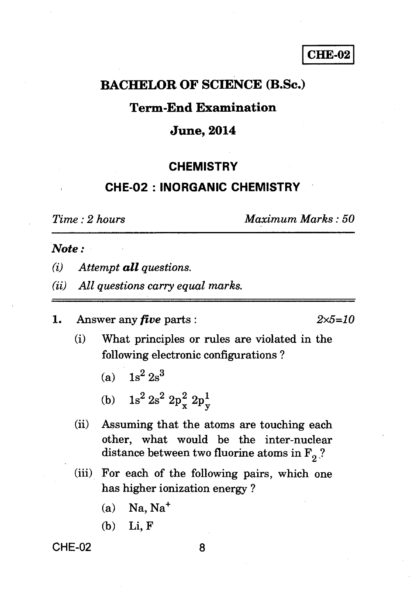**CHE-02** 

# **BACHELOR OF SCIENCE (B.Sc.)**

### **Term-End Examination**

#### **June, 2014**

#### **CHEMISTRY**

# **CHE-02 : INORGANIC CHEMISTRY**

*Time : 2 hours Maximum Marks : 50* 

#### *Note :*

- *(i) Attempt all questions.*
- *(ii) All questions carry equal marks.*
- 1. Answer any *five* parts : *2x5=10*

- (i) What principles or rules are violated in the following electronic configurations ?
	- (a)  $1s^2 2s^3$
	- (b)  $1s^2 2s^2 2p_x^2 2p_y^1$  $\frac{1}{2}$   $2p_y^1$
- (ii) Assuming that the atoms are touching each other, what would be the inter-nuclear distance between two fluorine atoms in  $F_2$  ?
- (iii) For each of the following pairs, which one has higher ionization energy ?
	- $(a)$  Na, Na<sup>+</sup>
	- (b) Li, F

#### CHE-02 8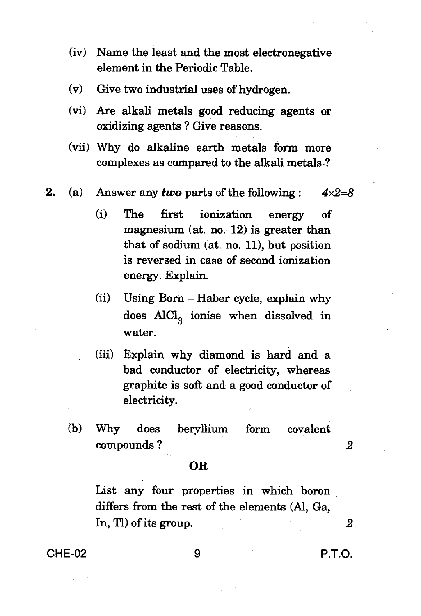- **(iv) Name the least and the most electronegative element in the Periodic Table.**
- **(v) Give two industrial uses of hydrogen.**
- **(vi) Are alkali metals good reducing agents or oxidizing agents ? Give reasons.**
- **(vii) Why do alkaline earth metals form more complexes as compared to the alkali metals-?**
- **2. (a) Answer any** *two* **parts of the following :** *4x2=8* 
	- **(i) The first ionization energy of magnesium (at. no. 12) is greater than that of sodium (at. no. 11), but position is reversed in case of second ionization energy. Explain.**
	- **(ii) Using Born Haber cycle, explain why does AEC1**3 **ionise when dissolved in water.**
	- **(iii) Explain why diamond is hard and a bad conductor of electricity, whereas graphite is soft and a good conductor of electricity.**
	- **(b) Why does beryllium form covalent compounds ?** *2*

#### **OR**

**List any four properties in which boron differs from the rest of the elements (Al, Ga, In, Tl) of its group.** *2* 

**CHE-02 9 P.T.O.**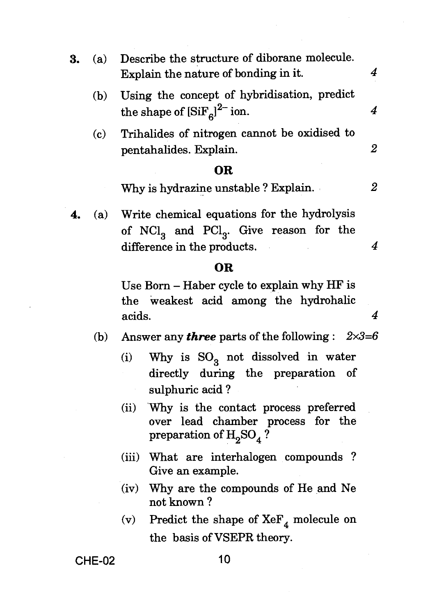**3.** (a) Describe the structure of diborane molecule. Explain the nature of bonding in it. *4*  (b) Using the concept of hybridisation, predict the shape of  $\left[SiF_{c}\right]^{2-}$  ion.  $4$ (c) Trihalides of nitrogen cannot be oxidised to pentahalides. Explain. *2* 

#### **OR**

- Why is hydrazine unstable ? Explain. *2*
- **4.** (a) Write chemical equations for the hydrolysis of  $NCl<sub>3</sub>$  and  $PCl<sub>3</sub>$ . Give reason for the difference in the products. 4

#### **OR**

Use Born — Haber cycle to explain why HF is the weakest acid among the hydrohalic acids. *4* 

- (b) Answer any *three* parts of the following : *2x3=6* 
	- (i) Why is  $SO_2$  not dissolved in water directly during the preparation of sulphuric acid ?
	- (ii) Why is the contact process preferred over lead chamber process for the preparation of  $H_2SO_4$ ?
	- (iii) What are interhalogen compounds ? Give an example.
	- (iv) Why are the compounds of He and Ne not known ?
	- (v) Predict the shape of  $XeF_4$  molecule on the basis of VSEPR theory.

**CHE-02 10**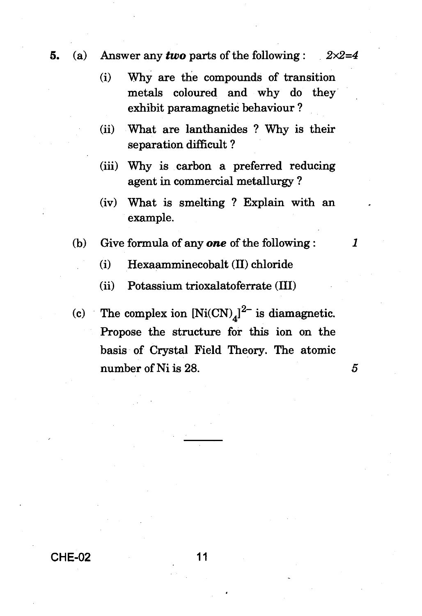- **5.** (a) Answer any *two* parts of the following : *2x2=4* 
	- (i) Why are the compounds of transition metals coloured and why do they exhibit paramagnetic behaviour ?
	- (ii) What are lanthanides ? Why is their separation difficult ?
	- (iii) Why is carbon a preferred reducing agent in commercial metallurgy ?
	- (iv) What is smelting ? Explain with an example.
	- (b) Give formula of any *one* of the following :
		- (i) Hexaamminecobalt (II) chloride

(ii) Potassium trioxalatoferrate (III)

(c) The complex ion  $[Ni(CN)_4]^2$  is diamagnetic. Propose the structure for this ion on the basis of Crystal Field Theory. The atomic number of Ni is 28. **5**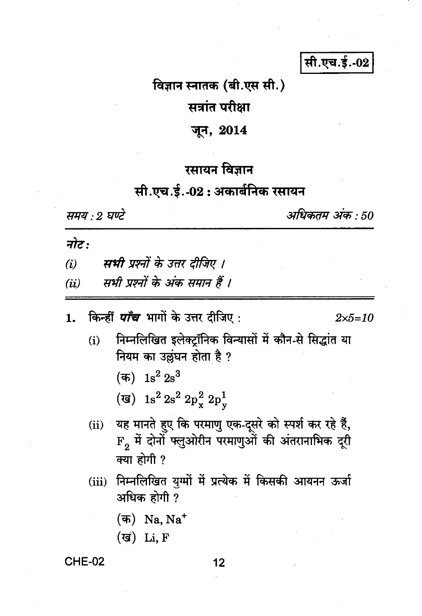# सी.एच.ई.-02

#### विज्ञान स्नातक (बी.एस सी.)

# सत्रांत परीक्षा

#### जून, 2014

# रसायन विज्ञान

# सी.एच.ई. 02 : अकार्बनिक रसायन

समय : २ घण्टे

अधिकतम अंक : 50

नोट :

- सभी प्रश्नों के उत्तर दीजिए ।  $(i)$
- सभी प्रश्नों के अंक समान हैं ।  $(ii)$
- किन्हीं *पाँच* भागों के उत्तर दीजिए : 1.

 $2 \times 5 = 10$ 

- निम्नलिखित इलेक्ट्रॉनिक विन्यासों में कौन-से सिद्धांत या  $(i)$ नियम का उल्लंघन होता है ?
	- (क)  $1s^2 2s^3$
	- (ख) 1s<sup>2</sup> 2s<sup>2</sup> 2p<sub>x</sub><sup>2</sup> 2p<sub>v</sub>
- यह मानते हुए कि परमाणु एक-दूसरे को स्पर्श कर रहे हैं,  $(ii)$  $\mathbf{F_2}$  में दोनों फ्लुओरीन परमाणुओं की अंतरानाभिक दूरी क्या होगी ?
- (iii) निम्नलिखित युग्मों में प्रत्येक में किसकी आयनन ऊर्जा अधिक होगी ?
	- $(\overline{a})$  Na, Na<sup>+</sup>
	- $(\overline{g})$  Li, F

**CHE-02**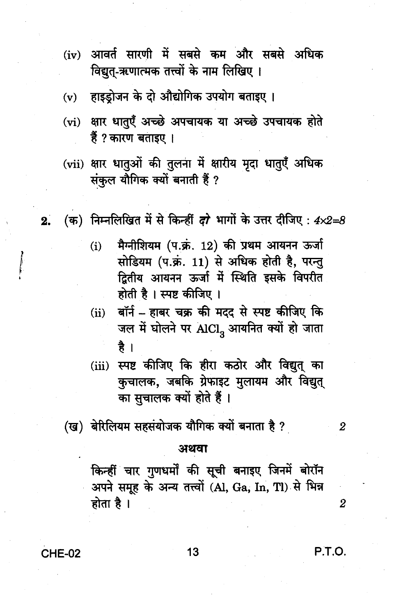- (iv) आवर्त सारणी में सबसे कम और सबसे अधिक विद्यत-ऋणात्मक तत्त्वों के नाम लिखिए ।
- हाइडोजन के दो औद्योगिक उपयोग बताइए।  $(v)$
- (vi) क्षार धातुएँ अच्छे अपचायक या अच्छे उपचायक होते हैं ? कारण बताइए ।
- (vii) क्षार धातुओं की तुलना में क्षारीय मृदा धातुएँ अधिक संकल यौगिक क्यों बनाती हैं ?
- (क) निम्नलिखित में से किन्हीं दो भागों के उत्तर दीजिए:  $4 \times 2 = 8$  $2.$ 
	- मैग्नीशियम (प.क्रं. 12) की प्रथम आयनन ऊर्जा  $(i)$ सोडियम (प.क्रं. 11) से अधिक होती है. परन्त द्वितीय आयनन ऊर्जा में स्थिति इसके विपरीत होती है। स्पष्ट कीजिए।
	- बॉर्न हाबर चक्र की मदद से स्पष्ट कीजिए कि  $(ii)$ जल में घोलने पर AICI, आयनित क्यों हो जाता है ।
	- स्पष्ट कीजिए कि हीरा कठोर और विद्युत का  $(iii)$ कचालक, जबकि ग्रेफाइट मुलायम और विद्युत् का सचालक क्यों होते हैं।
	- (ख) बेरिलियम सहसंयोजक यौगिक क्यों बनाता है ?

#### अथवा

किन्हीं चार गुणधर्मों की सूची बनाइए जिनमें बोरॉन अपने समूह के अन्य तत्त्वों (Al, Ga, In, Tl) से भिन्न होता है।

**CHE-02** 

13

P.T.O.

 $\overline{2}$ 

 $\overline{2}$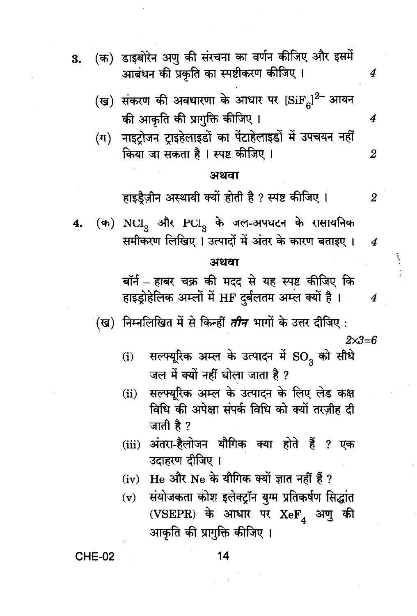- (क) डाइबोरेन अण की संरचना का वर्णन कीजिए और इसमें  $\overline{3}$ . आबंधन की प्रकृति का स्पष्टीकरण कीजिए।
	- (ख) संकरण की अवधारणा के आधार पर  ${\rm [SiF}_{c}]^2$  आयन की आकृति की प्रागुक्ति कीजिए ।
	- नाइटोजन टाइहेलाइडों का पेंटाहेलाइडों में उपचयन नहीं  $(\pi)$ किया जा सकता है । स्पष्ट कीजिए ।  $\overline{2}$

#### अथवा

हाइडैज़ीन अस्थायी क्यों होती है ? स्पष्ट कीजिए ।  $\overline{2}$ 

 $\overline{4}$ 

 $\overline{4}$ 

(क) NCI, और PCI, के जल-अपघटन के रासायनिक  $\overline{\mathbf{4}}$ समीकरण लिखिए । उत्पादों में अंतर के कारण बताइए ।  $\overline{4}$ 

#### अथवा

बॉर्न - हाबर चक्र की मदद से यह स्पष्ट कीजिए कि हाइड़ोहेलिक अम्लों में HF दर्बलतम अम्ल क्यों है।  $\boldsymbol{4}$ 

(ख) निम्नलिखित में से किन्हीं *तीन* भागों के उत्तर दीजिए :  $2x3=6$ 

- सल्फ्यूरिक अम्ल के उत्पादन में SO<sub>2</sub> को सीधे  $(i)$ जल में क्यों नहीं घोला जाता है ?
- सल्फ्युरिक अम्ल के उत्पादन के लिए लेड कक्ष  $(ii)$ विधि की अपेक्षा संपर्क विधि को क्यों तरजीह दी जाती है ?
- (iii) अंतरा-हैलोजन यौगिक क्या होते हैं ? एक उदाहरण दीजिए ।
- (iv) He और Ne के यौगिक क्यों ज्ञात नहीं हैं ?
- संयोजकता कोश इलेक्ट्रॉन युग्म प्रतिकर्षण सिद्धांत  $(v)$ (VSEPR) के आधार पर  $XeF$ , अणु की आकृति की प्रागुक्ति कीजिए ।

**CHE-02**